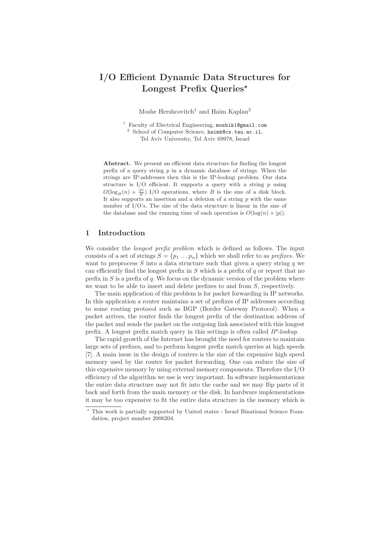# I/O Efficient Dynamic Data Structures for Longest Prefix Queries $\star$

Moshe Hershcovitch<sup>1</sup> and Haim Kaplan<sup>2</sup>

<sup>1</sup> Faculty of Electrical Engineering, moshik1@gmail.com <sup>2</sup> School of Computer Science, haimk@cs.tau.ac.il, Tel Aviv University, Tel Aviv 69978, Israel

Abstract. We present an efficient data structure for finding the longest prefix of a query string  $p$  in a dynamic database of strings. When the strings are IP-addresses then this is the IP-lookup problem. Our data structure is  $I/O$  efficient. It supports a query with a string  $p$  using  $O(\log_B(n) + \frac{|p|}{B})$  I/O operations, where B is the size of a disk block. It also supports an insertion and a deletion of a string  $p$  with the same number of I/O's. The size of the data structure is linear in the size of the database and the running time of each operation is  $O(\log(n) + |p|)$ .

### 1 Introduction

We consider the *longest prefix problem* which is defined as follows. The input consists of a set of strings  $S = \{p_1 \dots p_n\}$  which we shall refer to as *prefixes*. We want to preprocess  $S$  into a data structure such that given a query string  $q$  we can efficiently find the longest prefix in  $S$  which is a prefix of  $q$  or report that no prefix in S is a prefix of q. We focus on the dynamic version of the problem where we want to be able to insert and delete prefixes to and from S, respectively.

The main application of this problem is for packet forwarding in IP networks. In this application a router maintains a set of prefixes of IP addresses according to some routing protocol such as BGP (Border Gateway Protocol). When a packet arrives, the router finds the longest prefix of the destination address of the packet and sends the packet on the outgoing link associated with this longest prefix. A longest prefix match query in this settings is often called IP-lookup.

The rapid growth of the Internet has brought the need for routers to maintain large sets of prefixes, and to perform longest prefix match queries at high speeds [7]. A main issue in the design of routers is the size of the expensive high speed memory used by the router for packet forwarding. One can reduce the size of this expensive memory by using external memory components. Therefore the I/O efficiency of the algorithm we use is very important. In software implementations the entire data structure may not fit into the cache and we may flip parts of it back and forth from the main memory or the disk. In hardware implementations it may be too expensive to fit the entire data structure in the memory which is

This work is partially supported by United states - Israel Binational Science Foundation, project number 2006204.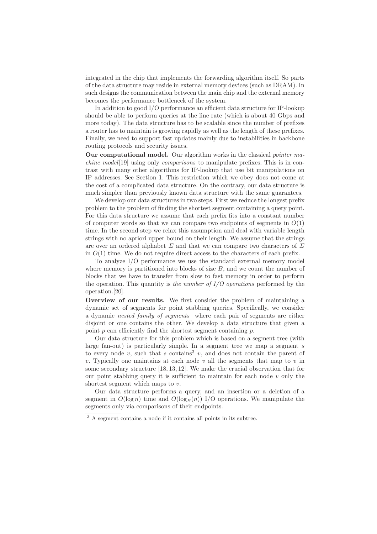integrated in the chip that implements the forwarding algorithm itself. So parts of the data structure may reside in external memory devices (such as DRAM). In such designs the communication between the main chip and the external memory becomes the performance bottleneck of the system.

In addition to good I/O performance an efficient data structure for IP-lookup should be able to perform queries at the line rate (which is about 40 Gbps and more today). The data structure has to be scalable since the number of prefixes a router has to maintain is growing rapidly as well as the length of these prefixes. Finally, we need to support fast updates mainly due to instabilities in backbone routing protocols and security issues.

Our computational model. Our algorithm works in the classical pointer machine model[19] using only comparisons to manipulate prefixes. This is in contrast with many other algorithms for IP-lookup that use bit manipulations on IP addresses. See Section 1. This restriction which we obey does not come at the cost of a complicated data structure. On the contrary, our data structure is much simpler than previously known data structure with the same guarantees.

We develop our data structures in two steps. First we reduce the longest prefix problem to the problem of finding the shortest segment containing a query point. For this data structure we assume that each prefix fits into a constant number of computer words so that we can compare two endpoints of segments in  $O(1)$ time. In the second step we relax this assumption and deal with variable length strings with no apriori upper bound on their length. We assume that the strings are over an ordered alphabet  $\Sigma$  and that we can compare two characters of  $\Sigma$ in  $O(1)$  time. We do not require direct access to the characters of each prefix.

To analyze I/O performance we use the standard external memory model where memory is partitioned into blocks of size  $B$ , and we count the number of blocks that we have to transfer from slow to fast memory in order to perform the operation. This quantity is the number of  $I/O$  operations performed by the operation.[20].

Overview of our results. We first consider the problem of maintaining a dynamic set of segments for point stabbing queries. Specifically, we consider a dynamic nested family of segments where each pair of segments are either disjoint or one contains the other. We develop a data structure that given a point  $p$  can efficiently find the shortest segment containing  $p$ .

Our data structure for this problem which is based on a segment tree (with large fan-out) is particularly simple. In a segment tree we map a segment s to every node  $v$ , such that  $s$  contains<sup>3</sup>  $v$ , and does not contain the parent of v. Typically one maintains at each node v all the segments that map to v in some secondary structure [18, 13, 12]. We make the crucial observation that for our point stabbing query it is sufficient to maintain for each node  $v$  only the shortest segment which maps to  $v$ .

Our data structure performs a query, and an insertion or a deletion of a segment in  $O(\log n)$  time and  $O(\log_B(n))$  I/O operations. We manipulate the segments only via comparisons of their endpoints.

<sup>3</sup> A segment contains a node if it contains all points in its subtree.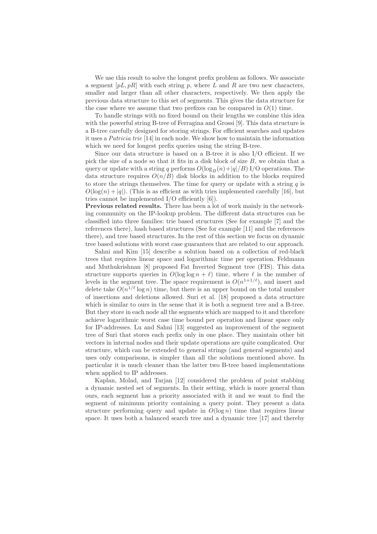We use this result to solve the longest prefix problem as follows. We associate a segment  $[p, pR]$  with each string p, where L and R are two new characters, smaller and larger than all other characters, respectively. We then apply the previous data structure to this set of segments. This gives the data structure for the case where we assume that two prefixes can be compared in  $O(1)$  time.

To handle strings with no fixed bound on their lengths we combine this idea with the powerful string B-tree of Ferragina and Grossi [9]. This data structure is a B-tree carefully designed for storing strings. For efficient searches and updates it uses a Patricia trie [14] in each node. We show how to maintain the information which we need for longest prefix queries using the string B-tree.

Since our data structure is based on a B-tree it is also I/O efficient. If we pick the size of a node so that it fits in a disk block of size B, we obtain that a query or update with a string q performs  $O(\log_B(n)+|q|/B)$  I/O operations. The data structure requires  $O(n/B)$  disk blocks in addition to the blocks required to store the strings themselves. The time for query or update with a string  $q$  is  $O(\log(n) + |q|)$ . (This is as efficient as with tries implemented carefully [16], but tries cannot be implemented I/O efficiently [6]).

Previous related results. There has been a lot of work mainly in the networking community on the IP-lookup problem. The different data structures can be classified into three families: trie based structures (See for example [7] and the references there), hash based structures (See for example [11] and the references there), and tree based structures. In the rest of this section we focus on dynamic tree based solutions with worst case guarantees that are related to our approach.

Sahni and Kim [15] describe a solution based on a collection of red-black trees that requires linear space and logarithmic time per operation. Feldmann and Muthukrishnan [8] proposed Fat Inverted Segment tree (FIS). This data structure supports queries in  $O(\log \log n + \ell)$  time, where  $\ell$  is the number of levels in the segment tree. The space requirement is  $O(n^{1+1/\ell})$ , and insert and delete take  $O(n^{1/\ell} \log n)$  time, but there is an upper bound on the total number of insertions and deletions allowed. Suri et al. [18] proposed a data structure which is similar to ours in the sense that it is both a segment tree and a B-tree. But they store in each node all the segments which are mapped to it and therefore achieve logarithmic worst case time bound per operation and linear space only for IP-addresses. Lu and Sahni [13] suggested an improvement of the segment tree of Suri that stores each prefix only in one place. They maintain other bit vectors in internal nodes and their update operations are quite complicated. Our structure, which can be extended to general strings (and general segments) and uses only comparisons, is simpler than all the solutions mentioned above. In particular it is much cleaner than the latter two B-tree based implementations when applied to IP addresses.

Kaplan, Molad, and Tarjan [12] considered the problem of point stabbing a dynamic nested set of segments. In their setting, which is more general than ours, each segment has a priority associated with it and we want to find the segment of minimum priority containing a query point. They present a data structure performing query and update in  $O(\log n)$  time that requires linear space. It uses both a balanced search tree and a dynamic tree [17] and thereby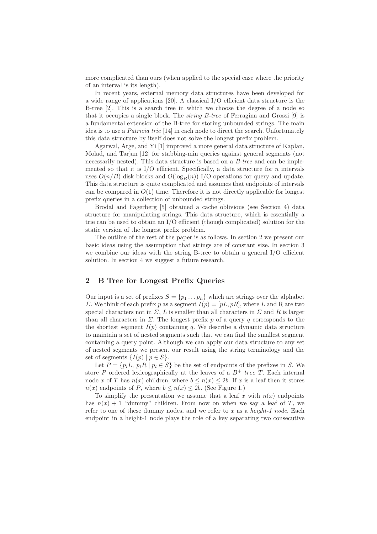more complicated than ours (when applied to the special case where the priority of an interval is its length).

In recent years, external memory data structures have been developed for a wide range of applications [20]. A classical I/O efficient data structure is the B-tree [2]. This is a search tree in which we choose the degree of a node so that it occupies a single block. The string B-tree of Ferragina and Grossi [9] is a fundamental extension of the B-tree for storing unbounded strings. The main idea is to use a Patricia trie [14] in each node to direct the search. Unfortunately this data structure by itself does not solve the longest prefix problem.

Agarwal, Arge, and Yi [1] improved a more general data structure of Kaplan, Molad, and Tarjan [12] for stabbing-min queries against general segments (not necessarily nested). This data structure is based on a *B-tree* and can be implemented so that it is  $I/O$  efficient. Specifically, a data structure for n intervals uses  $O(n/B)$  disk blocks and  $O(\log_B(n))$  I/O operations for query and update. This data structure is quite complicated and assumes that endpoints of intervals can be compared in  $O(1)$  time. Therefore it is not directly applicable for longest prefix queries in a collection of unbounded strings.

Brodal and Fagerberg [5] obtained a cache oblivious (see Section 4) data structure for manipulating strings. This data structure, which is essentially a trie can be used to obtain an I/O efficient (though complicated) solution for the static version of the longest prefix problem.

The outline of the rest of the paper is as follows. In section 2 we present our basic ideas using the assumption that strings are of constant size. In section 3 we combine our ideas with the string B-tree to obtain a general I/O efficient solution. In section 4 we suggest a future research.

# 2 B Tree for Longest Prefix Queries

Our input is a set of prefixes  $S = \{p_1 \dots p_n\}$  which are strings over the alphabet  $\Sigma$ . We think of each prefix p as a segment  $I(p) = [pL, pR]$ , where L and R are two special characters not in  $\Sigma$ , L is smaller than all characters in  $\Sigma$  and R is larger than all characters in  $\Sigma$ . The longest prefix p of a query q corresponds to the the shortest segment  $I(p)$  containing q. We describe a dynamic data structure to maintain a set of nested segments such that we can find the smallest segment containing a query point. Although we can apply our data structure to any set of nested segments we present our result using the string terminology and the set of segments  $\{I(p) | p \in S\}.$ 

Let  $P = \{p_i L, p_i R \mid p_i \in S\}$  be the set of endpoints of the prefixes in S. We store P ordered lexicographically at the leaves of a  $B^+$  tree T. Each internal node x of T has  $n(x)$  children, where  $b \leq n(x) \leq 2b$ . If x is a leaf then it stores  $n(x)$  endpoints of P, where  $b \leq n(x) \leq 2b$ . (See Figure 1.)

To simplify the presentation we assume that a leaf x with  $n(x)$  endpoints has  $n(x) + 1$  "dummy" children. From now on when we say a leaf of T, we refer to one of these dummy nodes, and we refer to x as a *height-1 node*. Each endpoint in a height-1 node plays the role of a key separating two consecutive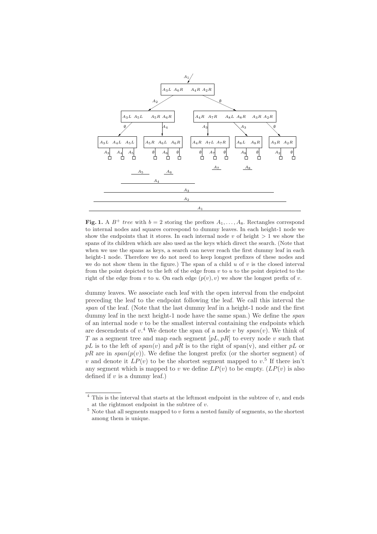

Fig. 1. A  $B^+$  tree with  $b = 2$  storing the prefixes  $A_1, \ldots, A_8$ . Rectangles correspond to internal nodes and squares correspond to dummy leaves. In each height-1 node we show the endpoints that it stores. In each internal node v of height  $> 1$  we show the spans of its children which are also used as the keys which direct the search. (Note that when we use the spans as keys, a search can never reach the first dummy leaf in each height-1 node. Therefore we do not need to keep longest prefixes of these nodes and we do not show them in the figure.) The span of a child  $u$  of  $v$  is the closed interval from the point depicted to the left of the edge from  $v$  to  $u$  to the point depicted to the right of the edge from v to u. On each edge  $(p(v), v)$  we show the longest prefix of v.

dummy leaves. We associate each leaf with the open interval from the endpoint preceding the leaf to the endpoint following the leaf. We call this interval the span of the leaf. (Note that the last dummy leaf in a height-1 node and the first dummy leaf in the next height-1 node have the same span.) We define the span of an internal node  $v$  to be the smallest interval containing the endpoints which are descendents of  $v^4$ . We denote the span of a node v by  $span(v)$ . We think of T as a segment tree and map each segment  $[p, pR]$  to every node v such that  $pL$  is to the left of  $span(v)$  and  $pR$  is to the right of span(v), and either  $pL$  or  $pR$  are in  $span(p(v))$ . We define the longest prefix (or the shorter segment) of v and denote it  $LP(v)$  to be the shortest segment mapped to v.<sup>5</sup> If there isn't any segment which is mapped to v we define  $LP(v)$  to be empty.  $(LP(v))$  is also defined if  $v$  is a dummy leaf.)

 $4$  This is the interval that starts at the leftmost endpoint in the subtree of  $v$ , and ends at the rightmost endpoint in the subtree of  $v$ .

 $5$  Note that all segments mapped to  $v$  form a nested family of segments, so the shortest among them is unique.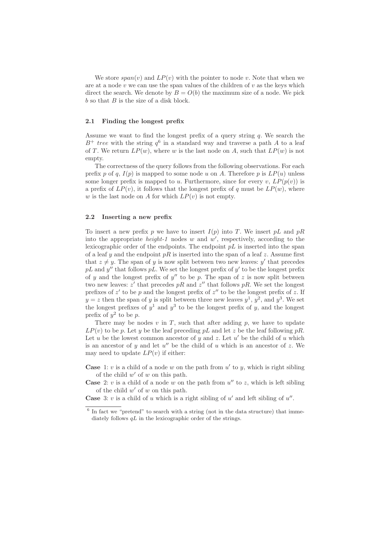We store  $span(v)$  and  $LP(v)$  with the pointer to node v. Note that when we are at a node  $v$  we can use the span values of the children of  $v$  as the keys which direct the search. We denote by  $B = O(b)$  the maximum size of a node. We pick  $b$  so that  $B$  is the size of a disk block.

#### 2.1 Finding the longest prefix

Assume we want to find the longest prefix of a query string  $q$ . We search the  $B^+$  tree with the string  $q^6$  in a standard way and traverse a path A to a leaf of T. We return  $LP(w)$ , where w is the last node on A, such that  $LP(w)$  is not empty.

The correctness of the query follows from the following observations. For each prefix p of q,  $I(p)$  is mapped to some node u on A. Therefore p is  $LP(u)$  unless some longer prefix is mapped to u. Furthermore, since for every v,  $LP(p(v))$  is a prefix of  $LP(v)$ , it follows that the longest prefix of q must be  $LP(w)$ , where w is the last node on A for which  $LP(v)$  is not empty.

#### 2.2 Inserting a new prefix

To insert a new prefix p we have to insert  $I(p)$  into T. We insert pL and pR into the appropriate *height-1* nodes  $w$  and  $w'$ , respectively, according to the lexicographic order of the endpoints. The endpoint  $pL$  is inserted into the span of a leaf y and the endpoint  $pR$  is inserted into the span of a leaf z. Assume first that  $z \neq y$ . The span of y is now split between two new leaves: y' that precedes  $pL$  and  $y''$  that follows  $p\tilde{L}$ . We set the longest prefix of y' to be the longest prefix of y and the longest prefix of  $y''$  to be p. The span of z is now split between two new leaves:  $z'$  that precedes pR and  $z''$  that follows pR. We set the longest prefixes of  $z'$  to be p and the longest prefix of  $z''$  to be the longest prefix of z. If  $y = z$  then the span of y is split between three new leaves  $y^1$ ,  $y^2$ , and  $y^3$ . We set the longest prefixes of  $y^1$  and  $y^3$  to be the longest prefix of y, and the longest prefix of  $y^2$  to be p.

There may be nodes  $v$  in  $T$ , such that after adding  $p$ , we have to update  $LP(v)$  to be p. Let y be the leaf preceding pL and let z be the leaf following pR. Let u be the lowest common ancestor of y and z. Let u' be the child of u which is an ancestor of y and let  $u''$  be the child of u which is an ancestor of z. We may need to update  $LP(v)$  if either:

**Case** 1:  $v$  is a child of a node  $w$  on the path from  $u'$  to  $y$ , which is right sibling of the child  $w'$  of  $w$  on this path.

**Case** 2:  $v$  is a child of a node  $w$  on the path from  $u''$  to  $z$ , which is left sibling of the child  $w'$  of  $w$  on this path.

**Case** 3:  $v$  is a child of  $u$  which is a right sibling of  $u'$  and left sibling of  $u''$ .

<sup>&</sup>lt;sup>6</sup> In fact we "pretend" to search with a string (not in the data structure) that immediately follows  $qL$  in the lexicographic order of the strings.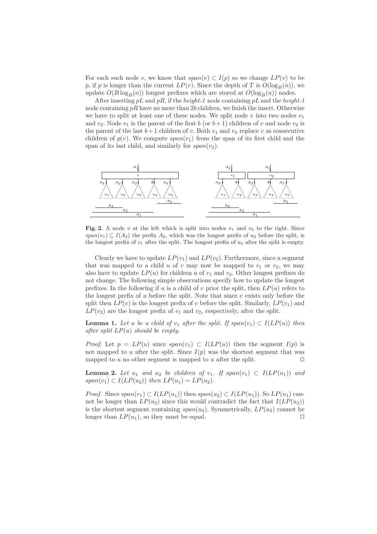For each such node v, we know that  $span(v) \subset I(p)$  so we change  $LP(v)$  to be p, if p is longer than the current  $LP(v)$ . Since the depth of T is  $O(\log_B(n))$ , we update  $O(B \log_B(n))$  longest prefixes which are stored at  $O(\log_B(n))$  nodes.

After inserting  $pL$  and  $pR$ , if the *height-1* node containing  $pL$  and the *height-1* node containing  $pR$  have no more than 2b children, we finish the insert. Otherwise we have to split at least one of these nodes. We split node v into two nodes  $v_1$ and  $v_2$ . Node  $v_1$  is the parent of the first b (or  $b+1$ ) children of v and node  $v_2$  is the parent of the last  $b+1$  children of v. Both  $v_1$  and  $v_2$  replace v as consecutive children of  $p(v)$ . We compute  $span(v_1)$  from the span of its first child and the span of its last child, and similarly for  $span(v_2)$ .



Fig. 2. A node v at the left which is split into nodes  $v_1$  and  $v_2$  to the right. Since span(v<sub>1</sub>)  $\subseteq I(A_2)$  the prefix  $A_2$ , which was the longest prefix of  $u_2$  before the split, is the longest prefix of  $v_1$  after the split. The longest prefix of  $u_2$  after the split is empty.

Clearly we have to update  $LP(v_1)$  and  $LP(v_2)$ . Furthermore, since a segment that was mapped to a child u of v may now be mapped to  $v_1$  or  $v_2$ , we may also have to update  $LP(u)$  for children u of  $v_1$  and  $v_2$ . Other longest prefixes do not change. The following simple observations specify how to update the longest prefixes. In the following if u is a child of v prior the split, then  $LP(u)$  refers to the longest prefix of u before the split. Note that since  $v$  exists only before the split then  $LP(v)$  is the longest prefix of v before the split. Similarly,  $LP(v_1)$  and  $LP(v_2)$  are the longest prefix of  $v_1$  and  $v_2$ , respectively, after the split.

**Lemma 1.** Let u be a child of v<sub>1</sub> after the split. If span(v<sub>1</sub>)  $\subset I(LP(u))$  then after split  $LP(u)$  should be empty.

*Proof.* Let  $p = LP(u)$  since  $span(v_1) \subset I(LP(u))$  then the segment  $I(p)$  is not mapped to u after the split. Since  $I(p)$  was the shortest segment that was mapped to u no other segment is mapped to u after the split. □

**Lemma 2.** Let  $u_1$  and  $u_2$  be children of  $v_1$ . If  $span(v_1) \subset I(LP(u_1))$  and  $span(v_1) \subset I(LP(u_2))$  then  $LP(u_1) = LP(u_2)$ .

*Proof.* Since  $span(v_1) \subset I(LP(u_1))$  then  $span(u_2) \subset I(LP(u_1))$ . So  $LP(u_1)$  cannot be longer than  $LP(u_2)$  since this would contradict the fact that  $I(LP(u_2))$ is the shortest segment containing  $span(u_2)$ . Symmetrically,  $LP(u_2)$  cannot be longer than  $LP(u_1)$ , so they must be equal. □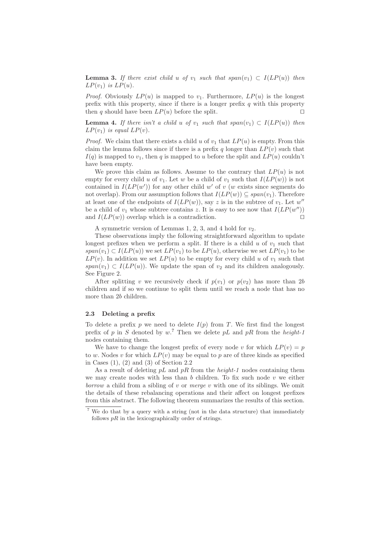**Lemma 3.** If there exist child u of  $v_1$  such that span $(v_1) \subset I(LP(u))$  then  $LP(v_1)$  is  $LP(u)$ .

*Proof.* Obviously  $LP(u)$  is mapped to  $v_1$ . Furthermore,  $LP(u)$  is the longest prefix with this property, since if there is a longer prefix  $q$  with this property then q should have been  $LP(u)$  before the split. □

**Lemma 4.** If there isn't a child u of  $v_1$  such that span $(v_1) \subset I(LP(u))$  then  $LP(v_1)$  is equal  $LP(v)$ .

*Proof.* We claim that there exists a child u of  $v_1$  that  $LP(u)$  is empty. From this claim the lemma follows since if there is a prefix q longer than  $LP(v)$  such that  $I(q)$  is mapped to  $v_1$ , then q is mapped to u before the split and  $LP(u)$  couldn't have been empty.

We prove this claim as follows. Assume to the contrary that  $LP(u)$  is not empty for every child u of  $v_1$ . Let w be a child of  $v_1$  such that  $I(LP(w))$  is not contained in  $I(LP(w'))$  for any other child w' of v (w exists since segments do not overlap). From our assumption follows that  $I(LP(w)) \subseteq span(v_1)$ . Therefore at least one of the endpoints of  $I(LP(w))$ , say z is in the subtree of  $v_1$ . Let w'' be a child of  $v_1$  whose subtree contains z. It is easy to see now that  $I(LP(w''))$ and  $I(LP(w))$  overlap which is a contradiction. □

A symmetric version of Lemmas 1, 2, 3, and 4 hold for  $v_2$ .

These observations imply the following straightforward algorithm to update longest prefixes when we perform a split. If there is a child u of  $v_1$  such that span( $v_1$ )  $\subset I(LP(u))$  we set  $LP(v_1)$  to be  $LP(u)$ , otherwise we set  $LP(v_1)$  to be  $LP(v)$ . In addition we set  $LP(u)$  to be empty for every child u of  $v_1$  such that span(v<sub>1</sub>)  $\subset I(LP(u))$ . We update the span of v<sub>2</sub> and its children analogously. See Figure 2.

After splitting v we recursively check if  $p(v_1)$  or  $p(v_2)$  has more than 2b children and if so we continue to split them until we reach a node that has no more than 2b children.

#### 2.3 Deleting a prefix

To delete a prefix p we need to delete  $I(p)$  from T. We first find the longest prefix of p in S denoted by  $w^7$ . Then we delete pL and pR from the height-1 nodes containing them.

We have to change the longest prefix of every node v for which  $LP(v) = p$ to w. Nodes v for which  $LP(v)$  may be equal to p are of three kinds as specified in Cases (1), (2) and (3) of Section 2.2

As a result of deleting  $pL$  and  $pR$  from the *height-1* nodes containing them we may create nodes with less than  $b$  children. To fix such node  $v$  we either borrow a child from a sibling of v or merge v with one of its siblings. We omit the details of these rebalancing operations and their affect on longest prefixes from this abstract. The following theorem summarizes the results of this section.

We do that by a query with a string (not in the data structure) that immediately follows  $pR$  in the lexicographically order of strings.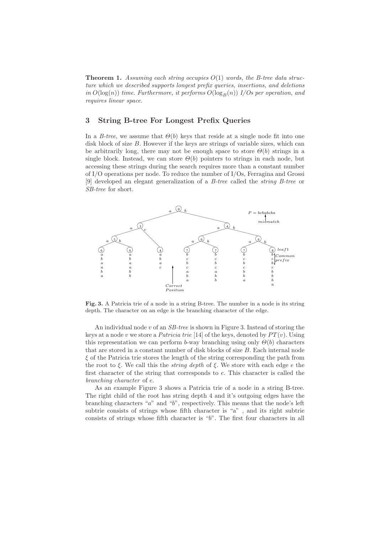**Theorem 1.** Assuming each string occupies  $O(1)$  words, the B-tree data structure which we described supports longest prefix queries, insertions, and deletions in  $O(\log(n))$  time. Furthermore, it performs  $O(\log_B(n))$  I/Os per operation, and requires linear space.

## 3 String B-tree For Longest Prefix Queries

In a B-tree, we assume that  $\Theta(b)$  keys that reside at a single node fit into one disk block of size B. However if the keys are strings of variable sizes, which can be arbitrarily long, there may not be enough space to store  $\Theta(b)$  strings in a single block. Instead, we can store  $\Theta(b)$  pointers to strings in each node, but accessing these strings during the search requires more than a constant number of I/O operations per node. To reduce the number of I/Os, Ferragina and Grossi [9] developed an elegant generalization of a B-tree called the string B-tree or SB-tree for short.



Fig. 3. A Patricia trie of a node in a string B-tree. The number in a node is its string depth. The character on an edge is the branching character of the edge.

An individual node v of an SB-tree is shown in Figure 3. Instead of storing the keys at a node v we store a *Patricia trie* [14] of the keys, denoted by  $PT(v)$ . Using this representation we can perform b-way branching using only  $\Theta(b)$  characters that are stored in a constant number of disk blocks of size B. Each internal node  $\xi$  of the Patricia trie stores the length of the string corresponding the path from the root to  $\xi$ . We call this the *string depth* of  $\xi$ . We store with each edge e the first character of the string that corresponds to e. This character is called the branching character of e.

As an example Figure 3 shows a Patricia trie of a node in a string B-tree. The right child of the root has string depth 4 and it's outgoing edges have the branching characters "a" and "b", respectively. This means that the node's left subtrie consists of strings whose fifth character is "a" , and its right subtrie consists of strings whose fifth character is "b". The first four characters in all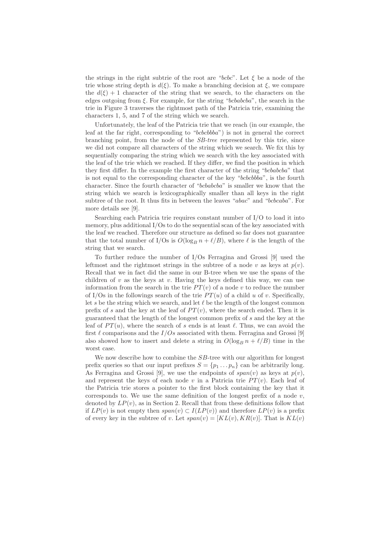the strings in the right subtrie of the root are "bcbc". Let  $\xi$  be a node of the trie whose string depth is  $d(\xi)$ . To make a branching decision at  $\xi$ , we compare the  $d(\xi) + 1$  character of the string that we search, to the characters on the edges outgoing from  $\xi$ . For example, for the string "bcbabcba", the search in the trie in Figure 3 traverses the rightmost path of the Patricia trie, examining the characters 1, 5, and 7 of the string which we search.

Unfortunately, the leaf of the Patricia trie that we reach (in our example, the leaf at the far right, corresponding to "bcbcbbba") is not in general the correct branching point, from the node of the SB-tree represented by this trie, since we did not compare all characters of the string which we search. We fix this by sequentially comparing the string which we search with the key associated with the leaf of the trie which we reached. If they differ, we find the position in which they first differ. In the example the first character of the string "bcbabcba" that is not equal to the corresponding character of the key "bcbcbbba", is the fourth character. Since the fourth character of "bcbabcba" is smaller we know that the string which we search is lexicographically smaller than all keys in the right subtree of the root. It thus fits in between the leaves "abac" and "bcbcaba". For more details see [9].

Searching each Patricia trie requires constant number of I/O to load it into memory, plus additional I/Os to do the sequential scan of the key associated with the leaf we reached. Therefore our structure as defined so far does not guarantee that the total number of I/Os is  $O(\log_B n + \ell/B)$ , where  $\ell$  is the length of the string that we search.

To further reduce the number of I/Os Ferragina and Grossi [9] used the leftmost and the rightmost strings in the subtree of a node v as keys at  $p(v)$ . Recall that we in fact did the same in our B-tree when we use the spans of the children of  $v$  as the keys at  $v$ . Having the keys defined this way, we can use information from the search in the trie  $PT(v)$  of a node v to reduce the number of I/Os in the followings search of the trie  $PT(u)$  of a child u of v. Specifically, let s be the string which we search, and let  $\ell$  be the length of the longest common prefix of s and the key at the leaf of  $PT(v)$ , where the search ended. Then it is guaranteed that the length of the longest common prefix of s and the key at the leaf of  $PT(u)$ , where the search of s ends is at least  $\ell$ . Thus, we can avoid the first  $\ell$  comparisons and the  $I/Os$  associated with them. Ferragina and Grossi [9] also showed how to insert and delete a string in  $O(\log_B n + \ell/B)$  time in the worst case.

We now describe how to combine the  $SB$ -tree with our algorithm for longest prefix queries so that our input prefixes  $S = \{p_1 \dots p_n\}$  can be arbitrarily long. As Ferragina and Grossi [9], we use the endpoints of  $span(v)$  as keys at  $p(v)$ , and represent the keys of each node v in a Patricia trie  $PT(v)$ . Each leaf of the Patricia trie stores a pointer to the first block containing the key that it corresponds to. We use the same definition of the longest prefix of a node  $v$ , denoted by  $LP(v)$ , as in Section 2. Recall that from these definitions follow that if  $LP(v)$  is not empty then  $span(v) \subset I(LP(v))$  and therefore  $LP(v)$  is a prefix of every key in the subtree of v. Let  $span(v) = [KL(v), KR(v)]$ . That is  $KL(v)$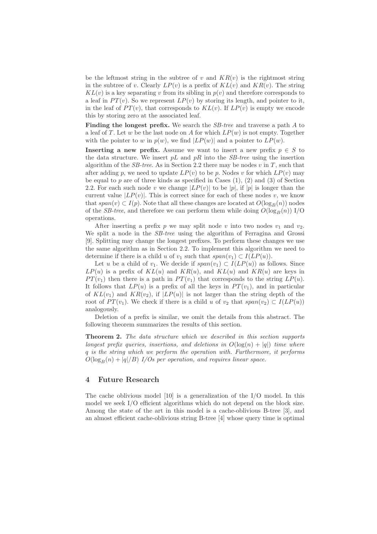be the leftmost string in the subtree of v and  $KR(v)$  is the rightmost string in the subtree of v. Clearly  $LP(v)$  is a prefix of  $KL(v)$  and  $KR(v)$ . The string  $KL(v)$  is a key separating v from its sibling in  $p(v)$  and therefore corresponds to a leaf in  $PT(v)$ . So we represent  $LP(v)$  by storing its length, and pointer to it, in the leaf of  $PT(v)$ , that corresponds to  $KL(v)$ . If  $LP(v)$  is empty we encode this by storing zero at the associated leaf.

Finding the longest prefix. We search the SB-tree and traverse a path A to a leaf of T. Let w be the last node on A for which  $LP(w)$  is not empty. Together with the pointer to w in  $p(w)$ , we find  $|LP(w)|$  and a pointer to  $LP(w)$ .

**Inserting a new prefix.** Assume we want to insert a new prefix  $p \in S$  to the data structure. We insert  $pL$  and  $pR$  into the *SB-tree* using the insertion algorithm of the  $SB$ -tree. As in Section 2.2 there may be nodes v in T, such that after adding p, we need to update  $LP(v)$  to be p. Nodes v for which  $LP(v)$  may be equal to  $p$  are of three kinds as specified in Cases  $(1)$ ,  $(2)$  and  $(3)$  of Section 2.2. For each such node v we change  $|LP(v)|$  to be  $|p|$ , if  $|p|$  is longer than the current value  $|LP(v)|$ . This is correct since for each of these nodes v, we know that  $span(v) \subset I(p)$ . Note that all these changes are located at  $O(\log_B(n))$  nodes of the SB-tree, and therefore we can perform them while doing  $O(\log_B(n))$  I/O operations.

After inserting a prefix p we may split node v into two nodes  $v_1$  and  $v_2$ . We split a node in the *SB-tree* using the algorithm of Ferragina and Grossi [9]. Splitting may change the longest prefixes. To perform these changes we use the same algorithm as in Section 2.2. To implement this algorithm we need to determine if there is a child u of  $v_1$  such that  $span(v_1) \subset I(LP(u))$ .

Let u be a child of v<sub>1</sub>. We decide if  $span(v_1) \subset I(LP(u))$  as follows. Since  $LP(u)$  is a prefix of  $KL(u)$  and  $KR(u)$ , and  $KL(u)$  and  $KR(u)$  are keys in  $PT(v_1)$  then there is a path in  $PT(v_1)$  that corresponds to the string  $LP(u)$ . It follows that  $LP(u)$  is a prefix of all the keys in  $PT(v_1)$ , and in particular of  $KL(v_1)$  and  $KR(v_2)$ , if  $|LP(u)|$  is not larger than the string depth of the root of  $PT(v_1)$ . We check if there is a child u of  $v_2$  that  $span(v_2) \subset I(LP(u))$ analogously.

Deletion of a prefix is similar, we omit the details from this abstract. The following theorem summarizes the results of this section.

Theorem 2. The data structure which we described in this section supports longest prefix queries, insertions, and deletions in  $O(\log(n) + |q|)$  time where q is the string which we perform the operation with. Furthermore, it performs  $O(\log_B(n) + |q|/B)$  I/Os per operation, and requires linear space.

### 4 Future Research

The cache oblivious model [10] is a generalization of the I/O model. In this model we seek I/O efficient algorithms which do not depend on the block size. Among the state of the art in this model is a cache-oblivious B-tree [3], and an almost efficient cache-oblivious string B-tree [4] whose query time is optimal